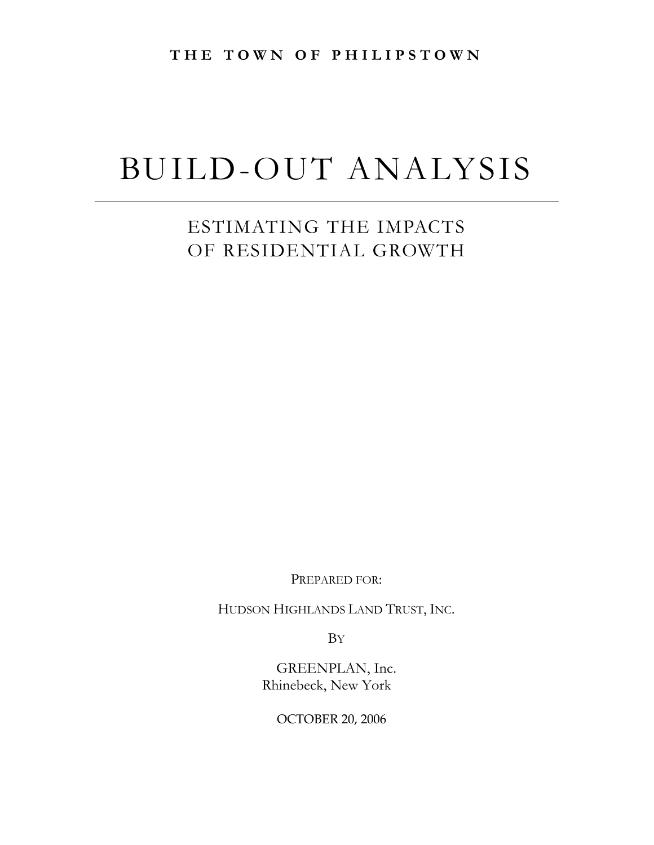**THE TOWN OF PHILIPSTOWN** 

# BUILD-OUT ANALYSIS

## ESTIMATING THE IMPACTS OF RESIDENTIAL GROWTH

PREPARED FOR:

HUDSON HIGHLANDS LAND TRUST, INC.

BY

GREENPLAN, Inc. Rhinebeck, New York

OCTOBER 20, 2006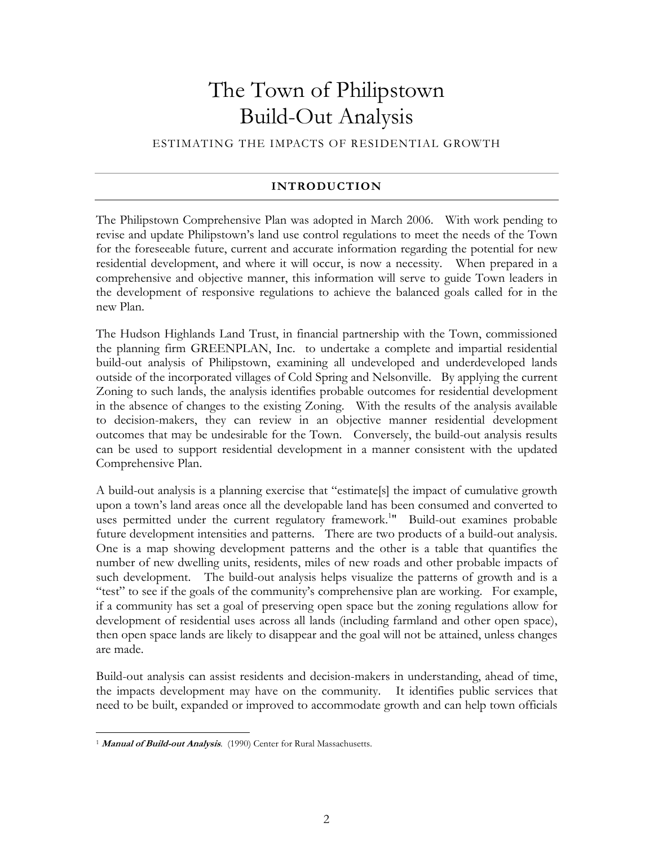# The Town of Philipstown Build-Out Analysis

ESTIMATING THE IMPACTS OF RESIDENTIAL GROWTH

### **INTRODUCTION**

The Philipstown Comprehensive Plan was adopted in March 2006. With work pending to revise and update Philipstown's land use control regulations to meet the needs of the Town for the foreseeable future, current and accurate information regarding the potential for new residential development, and where it will occur, is now a necessity. When prepared in a comprehensive and objective manner, this information will serve to guide Town leaders in the development of responsive regulations to achieve the balanced goals called for in the new Plan.

The Hudson Highlands Land Trust, in financial partnership with the Town, commissioned the planning firm GREENPLAN, Inc. to undertake a complete and impartial residential build-out analysis of Philipstown, examining all undeveloped and underdeveloped lands outside of the incorporated villages of Cold Spring and Nelsonville. By applying the current Zoning to such lands, the analysis identifies probable outcomes for residential development in the absence of changes to the existing Zoning. With the results of the analysis available to decision-makers, they can review in an objective manner residential development outcomes that may be undesirable for the Town. Conversely, the build-out analysis results can be used to support residential development in a manner consistent with the updated Comprehensive Plan.

A build-out analysis is a planning exercise that "estimate[s] the impact of cumulative growth upon a town's land areas once all the developable land has been consumed and converted to uses permitted under the current regulatory framework.<sup>1</sup>" Build-out examines probable future development intensities and patterns. There are two products of a build-out analysis. One is a map showing development patterns and the other is a table that quantifies the number of new dwelling units, residents, miles of new roads and other probable impacts of such development. The build-out analysis helps visualize the patterns of growth and is a "test" to see if the goals of the community's comprehensive plan are working. For example, if a community has set a goal of preserving open space but the zoning regulations allow for development of residential uses across all lands (including farmland and other open space), then open space lands are likely to disappear and the goal will not be attained, unless changes are made.

Build-out analysis can assist residents and decision-makers in understanding, ahead of time, the impacts development may have on the community. It identifies public services that need to be built, expanded or improved to accommodate growth and can help town officials

 $\overline{a}$ <sup>1</sup> **Manual of Build-out Analysis**. (1990) Center for Rural Massachusetts.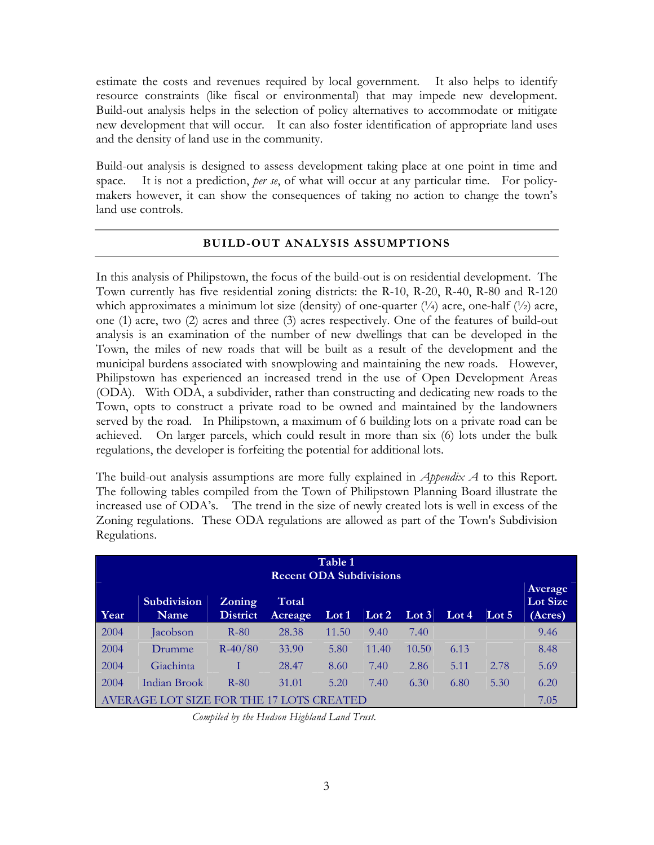estimate the costs and revenues required by local government. It also helps to identify resource constraints (like fiscal or environmental) that may impede new development. Build-out analysis helps in the selection of policy alternatives to accommodate or mitigate new development that will occur. It can also foster identification of appropriate land uses and the density of land use in the community.

Build-out analysis is designed to assess development taking place at one point in time and space. It is not a prediction, *per se*, of what will occur at any particular time. For policymakers however, it can show the consequences of taking no action to change the town's land use controls.

#### **BUILD-OUT ANALYSIS ASSUMPTIONS**

In this analysis of Philipstown, the focus of the build-out is on residential development. The Town currently has five residential zoning districts: the R-10, R-20, R-40, R-80 and R-120 which approximates a minimum lot size (density) of one-quarter  $(1/4)$  acre, one-half  $(1/2)$  acre, one (1) acre, two (2) acres and three (3) acres respectively. One of the features of build-out analysis is an examination of the number of new dwellings that can be developed in the Town, the miles of new roads that will be built as a result of the development and the municipal burdens associated with snowplowing and maintaining the new roads. However, Philipstown has experienced an increased trend in the use of Open Development Areas (ODA). With ODA, a subdivider, rather than constructing and dedicating new roads to the Town, opts to construct a private road to be owned and maintained by the landowners served by the road. In Philipstown, a maximum of 6 building lots on a private road can be achieved. On larger parcels, which could result in more than six (6) lots under the bulk regulations, the developer is forfeiting the potential for additional lots.

The build-out analysis assumptions are more fully explained in *Appendix A* to this Report. The following tables compiled from the Town of Philipstown Planning Board illustrate the increased use of ODA's. The trend in the size of newly created lots is well in excess of the Zoning regulations. These ODA regulations are allowed as part of the Town's Subdivision Regulations.

| Table 1<br><b>Recent ODA Subdivisions</b>                                                                                          |                                          |           |       |       |       |       |      |      |                                       |
|------------------------------------------------------------------------------------------------------------------------------------|------------------------------------------|-----------|-------|-------|-------|-------|------|------|---------------------------------------|
| Subdivision<br>Zoning<br>Total<br>Lot 4<br>Lot $3$<br>Lot $21$<br>Year<br><b>District</b><br>Lot $1$<br>Name<br>Acreage<br>Lot $5$ |                                          |           |       |       |       |       |      |      | Average<br><b>Lot Size</b><br>(Acres) |
| 2004                                                                                                                               | Jacobson                                 | $R-80$    | 28.38 | 11.50 | 9.40  | 7.40  |      |      | 9.46                                  |
| 2004                                                                                                                               | Drumme                                   | $R-40/80$ | 33.90 | 5.80  | 11.40 | 10.50 | 6.13 |      | 8.48                                  |
| 2004                                                                                                                               | Giachinta                                |           | 28.47 | 8.60  | 7.40  | 2.86  | 5.11 | 2.78 | 5.69                                  |
| 2004                                                                                                                               | <b>Indian Brook</b>                      | $R-80$    | 31.01 | 5.20  | 7.40  | 6.30  | 6.80 | 5.30 | 6.20                                  |
|                                                                                                                                    | AVERAGE LOT SIZE FOR THE 17 LOTS CREATED |           |       |       |       |       |      |      | 7.05                                  |

*Compiled by the Hudson Highland Land Trust.*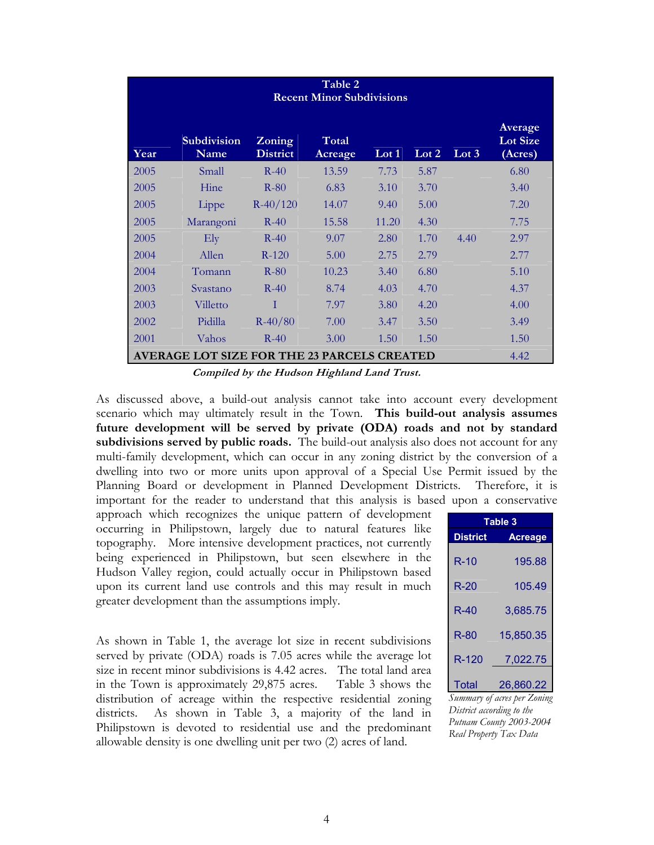| Table 2<br><b>Recent Minor Subdivisions</b> |                                                    |                           |                  |         |       |         |                                       |  |
|---------------------------------------------|----------------------------------------------------|---------------------------|------------------|---------|-------|---------|---------------------------------------|--|
| Year                                        | <b>Subdivision</b><br>Name                         | Zoning<br><b>District</b> | Total<br>Acreage | Lot $1$ | Lot 2 | Lot $3$ | Average<br><b>Lot Size</b><br>(Acres) |  |
| 2005                                        | Small                                              | $R-40$                    | 13.59            | 7.73    | 5.87  |         | 6.80                                  |  |
| 2005                                        | Hine                                               | $R-80$                    | 6.83             | 3.10    | 3.70  |         | 3.40                                  |  |
| 2005                                        | Lippe                                              | $R-40/120$                | 14.07            | 9.40    | 5.00  |         | 7.20                                  |  |
| 2005                                        | Marangoni                                          | $R-40$                    | 15.58            | 11.20   | 4.30  |         | 7.75                                  |  |
| 2005                                        | E <sub>l</sub>                                     | $R-40$                    | 9.07             | 2.80    | 1.70  | 4.40    | 2.97                                  |  |
| 2004                                        | Allen                                              | $R-120$                   | 5.00             | 2.75    | 2.79  |         | 2.77                                  |  |
| 2004                                        | Tomann                                             | $R-80$                    | 10.23            | 3.40    | 6.80  |         | 5.10                                  |  |
| 2003                                        | Svastano                                           | $R-40$                    | 8.74             | 4.03    | 4.70  |         | 4.37                                  |  |
| 2003                                        | Villetto                                           | T                         | 7.97             | 3.80    | 4.20  |         | 4.00                                  |  |
| 2002                                        | Pidilla                                            | $R-40/80$                 | 7.00             | 3.47    | 3.50  |         | 3.49                                  |  |
| 2001                                        | Vahos                                              | $R-40$                    | 3.00             | 1.50    | 1.50  |         | 1.50                                  |  |
|                                             | <b>AVERAGE LOT SIZE FOR THE 23 PARCELS CREATED</b> |                           |                  |         |       |         | 4.42                                  |  |

**Compiled by the Hudson Highland Land Trust.** 

As discussed above, a build-out analysis cannot take into account every development scenario which may ultimately result in the Town. **This build-out analysis assumes future development will be served by private (ODA) roads and not by standard subdivisions served by public roads.** The build-out analysis also does not account for any multi-family development, which can occur in any zoning district by the conversion of a dwelling into two or more units upon approval of a Special Use Permit issued by the Planning Board or development in Planned Development Districts. Therefore, it is important for the reader to understand that this analysis is based upon a conservative

approach which recognizes the unique pattern of development occurring in Philipstown, largely due to natural features like topography. More intensive development practices, not currently being experienced in Philipstown, but seen elsewhere in the Hudson Valley region, could actually occur in Philipstown based upon its current land use controls and this may result in much greater development than the assumptions imply.

As shown in Table 1, the average lot size in recent subdivisions served by private (ODA) roads is 7.05 acres while the average lot size in recent minor subdivisions is 4.42 acres. The total land area in the Town is approximately 29,875 acres. Table 3 shows the distribution of acreage within the respective residential zoning districts. As shown in Table 3, a majority of the land in Philipstown is devoted to residential use and the predominant allowable density is one dwelling unit per two (2) acres of land.

| Table 3         |                |  |  |  |  |
|-----------------|----------------|--|--|--|--|
| <b>District</b> | <b>Acreage</b> |  |  |  |  |
| $R-10$          | 195.88         |  |  |  |  |
| $R-20$          | 105.49         |  |  |  |  |
| R-40            | 3,685.75       |  |  |  |  |
| <b>R-80</b>     | 15,850.35      |  |  |  |  |
| R-120           | 7,022.75       |  |  |  |  |
| Total           | 26,860.22      |  |  |  |  |

*Summary of acres per Zoning District according to the Putnam County 2003-2004 Real Property Tax Data*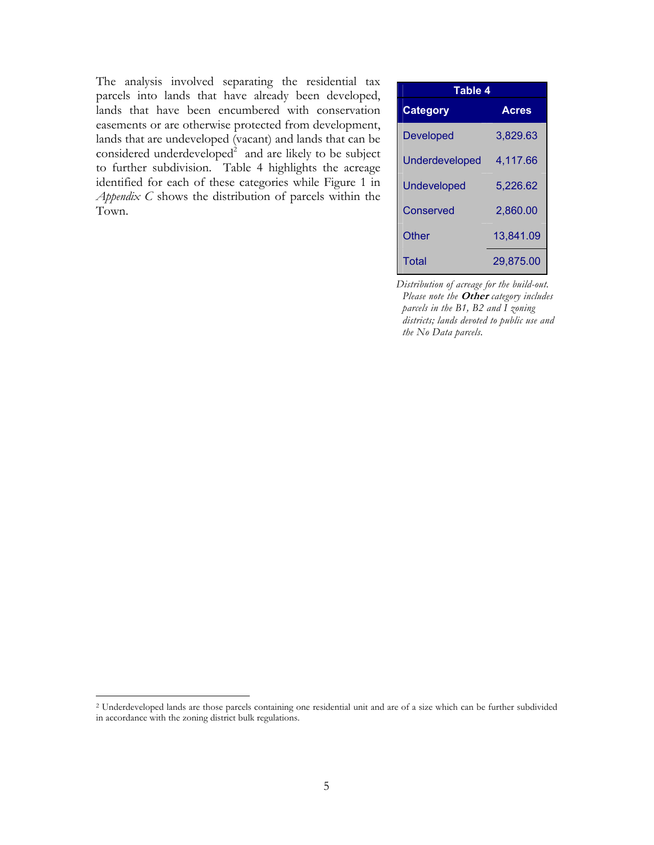The analysis involved separating the residential tax parcels into lands that have already been developed, lands that have been encumbered with conservation easements or are otherwise protected from development, lands that are undeveloped (vacant) and lands that can be considered underdeveloped $2$  and are likely to be subject to further subdivision. Table 4 highlights the acreage identified for each of these categories while Figure 1 in *Appendix C* shows the distribution of parcels within the Town.

| Table 4            |              |  |  |  |  |  |
|--------------------|--------------|--|--|--|--|--|
| <b>Category</b>    | <b>Acres</b> |  |  |  |  |  |
| <b>Developed</b>   | 3,829.63     |  |  |  |  |  |
| Underdeveloped     | 4,117.66     |  |  |  |  |  |
| <b>Undeveloped</b> | 5,226.62     |  |  |  |  |  |
| Conserved          | 2,860.00     |  |  |  |  |  |
| Other              | 13,841.09    |  |  |  |  |  |
| Total              | 29,875.00    |  |  |  |  |  |

*Distribution of acreage for the build-out. Please note the* **Other** *category includes parcels in the B1, B2 and I zoning districts; lands devoted to public use and the No Data parcels.* 

<sup>2</sup> Underdeveloped lands are those parcels containing one residential unit and are of a size which can be further subdivided in accordance with the zoning district bulk regulations.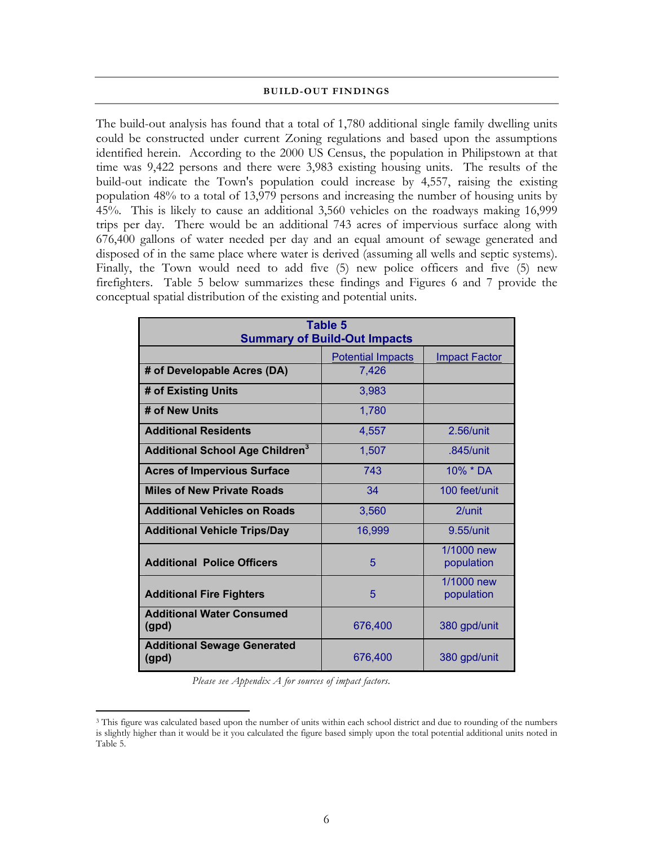#### **BUILD-OUT FINDINGS**

The build-out analysis has found that a total of 1,780 additional single family dwelling units could be constructed under current Zoning regulations and based upon the assumptions identified herein. According to the 2000 US Census, the population in Philipstown at that time was 9,422 persons and there were 3,983 existing housing units. The results of the build-out indicate the Town's population could increase by 4,557, raising the existing population 48% to a total of 13,979 persons and increasing the number of housing units by 45%. This is likely to cause an additional 3,560 vehicles on the roadways making 16,999 trips per day. There would be an additional 743 acres of impervious surface along with 676,400 gallons of water needed per day and an equal amount of sewage generated and disposed of in the same place where water is derived (assuming all wells and septic systems). Finally, the Town would need to add five (5) new police officers and five (5) new firefighters. Table 5 below summarizes these findings and Figures 6 and 7 provide the conceptual spatial distribution of the existing and potential units.

| Table 5<br><b>Summary of Build-Out Impacts</b>    |                          |                          |  |  |  |
|---------------------------------------------------|--------------------------|--------------------------|--|--|--|
|                                                   | <b>Potential Impacts</b> | <b>Impact Factor</b>     |  |  |  |
| # of Developable Acres (DA)                       | 7,426                    |                          |  |  |  |
| # of Existing Units                               | 3,983                    |                          |  |  |  |
| # of New Units                                    | 1,780                    |                          |  |  |  |
| <b>Additional Residents</b>                       | 4,557                    | 2.56/unit                |  |  |  |
| <b>Additional School Age Children<sup>3</sup></b> | 1,507                    | $.845/$ unit             |  |  |  |
| <b>Acres of Impervious Surface</b>                | 743                      | $10\% * DA$              |  |  |  |
| <b>Miles of New Private Roads</b>                 | 34                       | 100 feet/unit            |  |  |  |
| <b>Additional Vehicles on Roads</b>               | 3,560                    | $2$ /unit                |  |  |  |
| <b>Additional Vehicle Trips/Day</b>               | 16,999                   | $9.55/$ unit             |  |  |  |
| <b>Additional Police Officers</b>                 | 5                        | 1/1000 new<br>population |  |  |  |
| <b>Additional Fire Fighters</b>                   | 5                        | 1/1000 new<br>population |  |  |  |
| <b>Additional Water Consumed</b><br>(gpd)         | 676,400                  | 380 gpd/unit             |  |  |  |
| <b>Additional Sewage Generated</b><br>(gpd)       | 676,400                  | 380 gpd/unit             |  |  |  |

*Please see Appendix A for sources of impact factors.*

<sup>&</sup>lt;sup>3</sup> This figure was calculated based upon the number of units within each school district and due to rounding of the numbers is slightly higher than it would be it you calculated the figure based simply upon the total potential additional units noted in Table 5.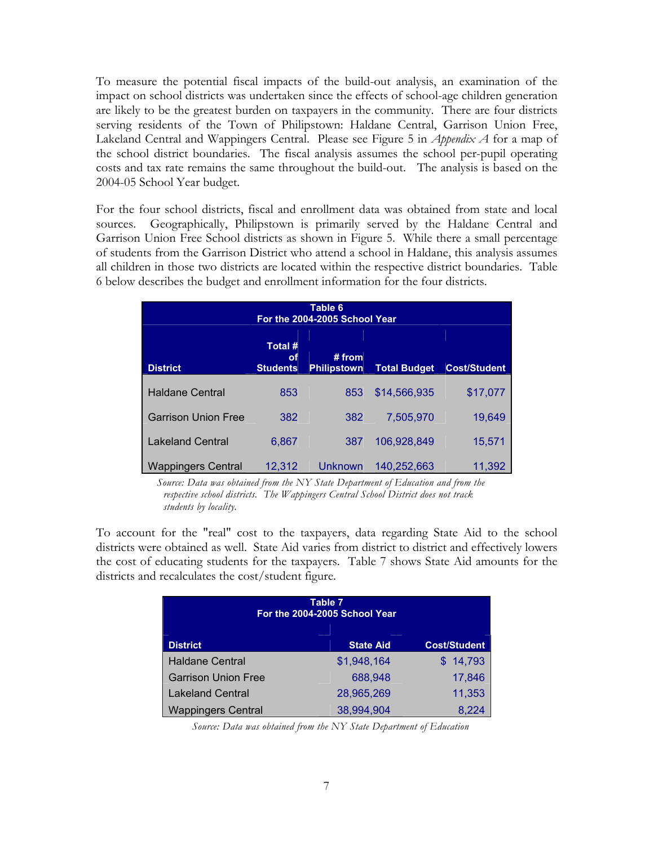To measure the potential fiscal impacts of the build-out analysis, an examination of the impact on school districts was undertaken since the effects of school-age children generation are likely to be the greatest burden on taxpayers in the community. There are four districts serving residents of the Town of Philipstown: Haldane Central, Garrison Union Free, Lakeland Central and Wappingers Central. Please see Figure 5 in *Appendix A* for a map of the school district boundaries. The fiscal analysis assumes the school per-pupil operating costs and tax rate remains the same throughout the build-out. The analysis is based on the 2004-05 School Year budget.

For the four school districts, fiscal and enrollment data was obtained from state and local sources. Geographically, Philipstown is primarily served by the Haldane Central and Garrison Union Free School districts as shown in Figure 5. While there a small percentage of students from the Garrison District who attend a school in Haldane, this analysis assumes all children in those two districts are located within the respective district boundaries. Table 6 below describes the budget and enrollment information for the four districts.

| Table 6<br>For the 2004-2005 School Year |                                  |                              |                     |                     |  |  |  |
|------------------------------------------|----------------------------------|------------------------------|---------------------|---------------------|--|--|--|
| <b>District</b>                          | Total #<br>οf<br><b>Students</b> | # from<br><b>Philipstown</b> | <b>Total Budget</b> | <b>Cost/Student</b> |  |  |  |
| <b>Haldane Central</b>                   | 853                              | 853                          | \$14,566,935        | \$17,077            |  |  |  |
| <b>Garrison Union Free</b>               | 382                              | 382                          | 7.505.970           | 19,649              |  |  |  |
| <b>Lakeland Central</b>                  | 6,867                            | 387                          | 106,928,849         | 15,571              |  |  |  |
| <b>Wappingers Central</b>                | 12.312                           | Unknown                      | 140.252.663         | 11.392              |  |  |  |

*Source: Data was obtained from the NY State Department of Education and from the respective school districts. The Wappingers Central School District does not track students by locality.* 

To account for the "real" cost to the taxpayers, data regarding State Aid to the school districts were obtained as well. State Aid varies from district to district and effectively lowers the cost of educating students for the taxpayers. Table 7 shows State Aid amounts for the districts and recalculates the cost/student figure.

| Table 7<br>For the 2004-2005 School Year |                  |                     |  |  |  |  |
|------------------------------------------|------------------|---------------------|--|--|--|--|
|                                          |                  |                     |  |  |  |  |
| <b>District</b>                          | <b>State Aid</b> | <b>Cost/Student</b> |  |  |  |  |
| <b>Haldane Central</b>                   | \$1,948,164      | \$14,793            |  |  |  |  |
| <b>Garrison Union Free</b>               | 688,948          | 17,846              |  |  |  |  |
| <b>Lakeland Central</b>                  | 28,965,269       | 11,353              |  |  |  |  |
| <b>Wappingers Central</b>                | 38,994,904       | 8.224               |  |  |  |  |

*Source: Data was obtained from the NY State Department of Education*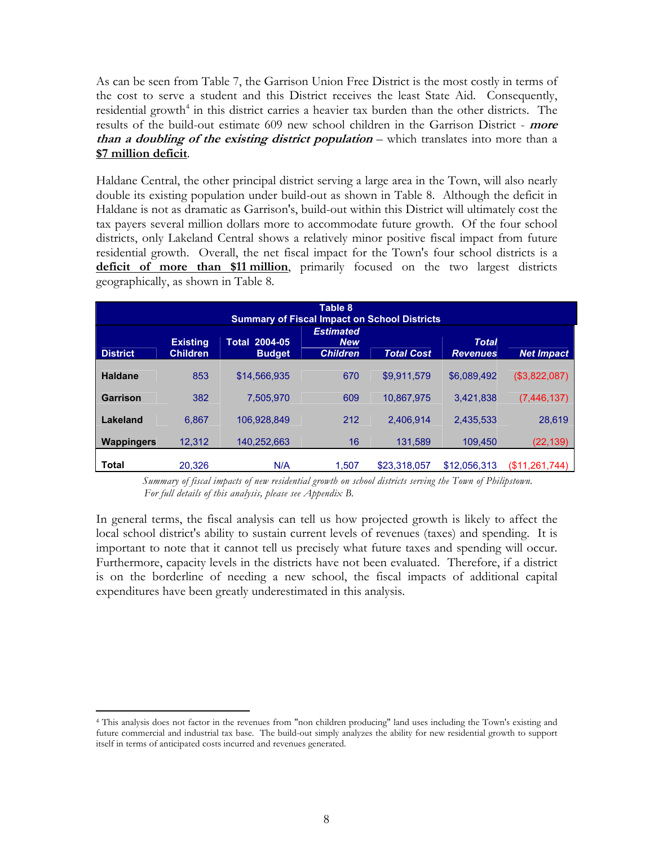As can be seen from Table 7, the Garrison Union Free District is the most costly in terms of the cost to serve a student and this District receives the least State Aid. Consequently, residential growth<sup>4</sup> in this district carries a heavier tax burden than the other districts. The results of the build-out estimate 609 new school children in the Garrison District - **more than a doubling of the existing district population** – which translates into more than a **\$7 million deficit**.

Haldane Central, the other principal district serving a large area in the Town, will also nearly double its existing population under build-out as shown in Table 8. Although the deficit in Haldane is not as dramatic as Garrison's, build-out within this District will ultimately cost the tax payers several million dollars more to accommodate future growth. Of the four school districts, only Lakeland Central shows a relatively minor positive fiscal impact from future residential growth. Overall, the net fiscal impact for the Town's four school districts is a **deficit of more than \$11 million**, primarily focused on the two largest districts geographically, as shown in Table 8.

| Table 8<br><b>Summary of Fiscal Impact on School Districts</b> |                                    |                                       |                                                   |                   |                                 |                   |  |  |  |
|----------------------------------------------------------------|------------------------------------|---------------------------------------|---------------------------------------------------|-------------------|---------------------------------|-------------------|--|--|--|
| <b>District</b>                                                | <b>Existing</b><br><b>Children</b> | <b>Total 2004-05</b><br><b>Budget</b> | <b>Estimated</b><br><b>New</b><br><b>Children</b> | <b>Total Cost</b> | <b>Total</b><br><b>Revenues</b> | <b>Net Impact</b> |  |  |  |
| <b>Haldane</b>                                                 | 853                                | \$14.566.935                          | 670                                               | \$9.911.579       | \$6,089,492                     | (\$3,822,087)     |  |  |  |
| Garrison                                                       | 382                                | 7.505.970                             | 609                                               | 10.867.975        | 3.421.838                       | (7, 446, 137)     |  |  |  |
| Lakeland                                                       | 6.867                              | 106.928.849                           | 212                                               | 2.406.914         | 2.435.533                       | 28,619            |  |  |  |
| <b>Wappingers</b>                                              | 12.312                             | 140.252.663                           | 16                                                | 131.589           | 109.450                         | (22, 139)         |  |  |  |
| <b>Total</b>                                                   | 20.326                             | N/A                                   | 1,507                                             | \$23,318,057      | \$12,056,313                    | (\$11,261,744)    |  |  |  |

*Summary of fiscal impacts of new residential growth on school districts serving the Town of Philipstown. For full details of this analysis, please see Appendix B.* 

In general terms, the fiscal analysis can tell us how projected growth is likely to affect the local school district's ability to sustain current levels of revenues (taxes) and spending. It is important to note that it cannot tell us precisely what future taxes and spending will occur. Furthermore, capacity levels in the districts have not been evaluated. Therefore, if a district is on the borderline of needing a new school, the fiscal impacts of additional capital expenditures have been greatly underestimated in this analysis.

<sup>4</sup> This analysis does not factor in the revenues from "non children producing" land uses including the Town's existing and future commercial and industrial tax base. The build-out simply analyzes the ability for new residential growth to support itself in terms of anticipated costs incurred and revenues generated.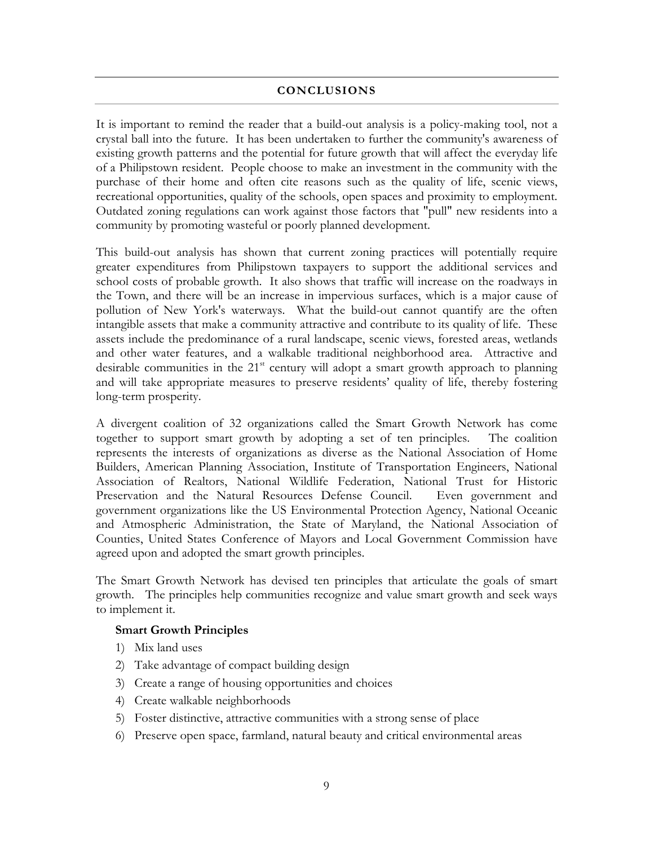#### **CONCLUSIONS**

It is important to remind the reader that a build-out analysis is a policy-making tool, not a crystal ball into the future. It has been undertaken to further the community's awareness of existing growth patterns and the potential for future growth that will affect the everyday life of a Philipstown resident. People choose to make an investment in the community with the purchase of their home and often cite reasons such as the quality of life, scenic views, recreational opportunities, quality of the schools, open spaces and proximity to employment. Outdated zoning regulations can work against those factors that "pull" new residents into a community by promoting wasteful or poorly planned development.

This build-out analysis has shown that current zoning practices will potentially require greater expenditures from Philipstown taxpayers to support the additional services and school costs of probable growth. It also shows that traffic will increase on the roadways in the Town, and there will be an increase in impervious surfaces, which is a major cause of pollution of New York's waterways. What the build-out cannot quantify are the often intangible assets that make a community attractive and contribute to its quality of life. These assets include the predominance of a rural landscape, scenic views, forested areas, wetlands and other water features, and a walkable traditional neighborhood area. Attractive and desirable communities in the  $21<sup>st</sup>$  century will adopt a smart growth approach to planning and will take appropriate measures to preserve residents' quality of life, thereby fostering long-term prosperity.

A divergent coalition of 32 organizations called the Smart Growth Network has come together to support smart growth by adopting a set of ten principles. The coalition represents the interests of organizations as diverse as the National Association of Home Builders, American Planning Association, Institute of Transportation Engineers, National Association of Realtors, National Wildlife Federation, National Trust for Historic Preservation and the Natural Resources Defense Council. Even government and government organizations like the US Environmental Protection Agency, National Oceanic and Atmospheric Administration, the State of Maryland, the National Association of Counties, United States Conference of Mayors and Local Government Commission have agreed upon and adopted the smart growth principles.

The Smart Growth Network has devised ten principles that articulate the goals of smart growth. The principles help communities recognize and value smart growth and seek ways to implement it.

#### **Smart Growth Principles**

- 1) Mix land uses
- 2) Take advantage of compact building design
- 3) Create a range of housing opportunities and choices
- 4) Create walkable neighborhoods
- 5) Foster distinctive, attractive communities with a strong sense of place
- 6) Preserve open space, farmland, natural beauty and critical environmental areas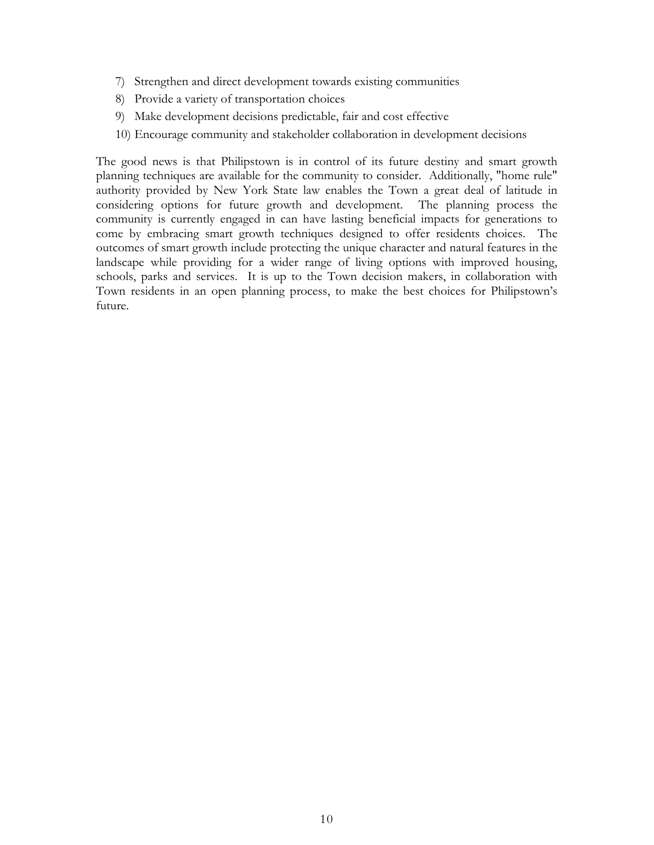- 7) Strengthen and direct development towards existing communities
- 8) Provide a variety of transportation choices
- 9) Make development decisions predictable, fair and cost effective
- 10) Encourage community and stakeholder collaboration in development decisions

The good news is that Philipstown is in control of its future destiny and smart growth planning techniques are available for the community to consider. Additionally, "home rule" authority provided by New York State law enables the Town a great deal of latitude in considering options for future growth and development. The planning process the community is currently engaged in can have lasting beneficial impacts for generations to come by embracing smart growth techniques designed to offer residents choices. The outcomes of smart growth include protecting the unique character and natural features in the landscape while providing for a wider range of living options with improved housing, schools, parks and services. It is up to the Town decision makers, in collaboration with Town residents in an open planning process, to make the best choices for Philipstown's future.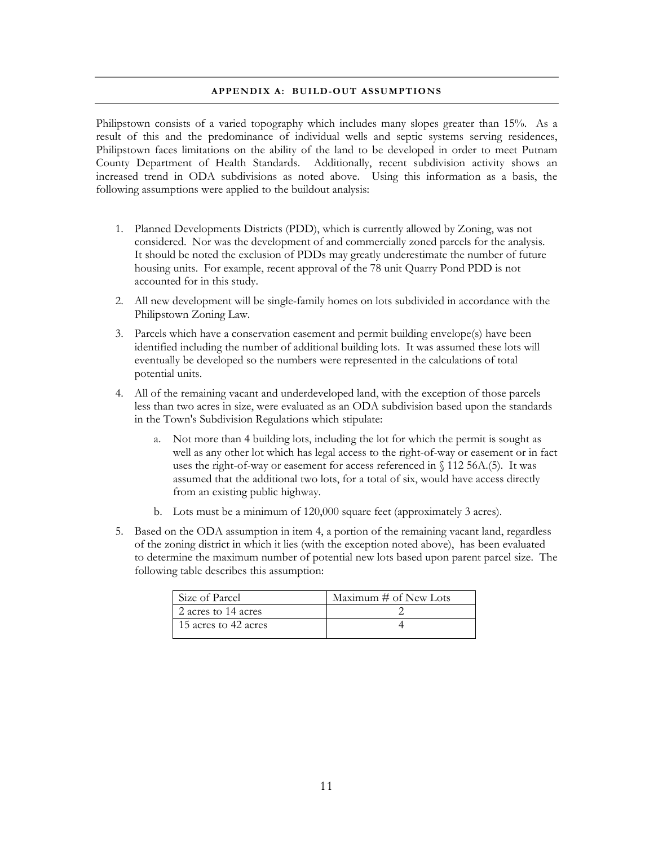#### **APPENDIX A: BUILD-OUT ASSUMPTIONS**

Philipstown consists of a varied topography which includes many slopes greater than 15%. As a result of this and the predominance of individual wells and septic systems serving residences, Philipstown faces limitations on the ability of the land to be developed in order to meet Putnam County Department of Health Standards. Additionally, recent subdivision activity shows an increased trend in ODA subdivisions as noted above. Using this information as a basis, the following assumptions were applied to the buildout analysis:

- 1. Planned Developments Districts (PDD), which is currently allowed by Zoning, was not considered. Nor was the development of and commercially zoned parcels for the analysis. It should be noted the exclusion of PDDs may greatly underestimate the number of future housing units. For example, recent approval of the 78 unit Quarry Pond PDD is not accounted for in this study.
- 2. All new development will be single-family homes on lots subdivided in accordance with the Philipstown Zoning Law.
- 3. Parcels which have a conservation easement and permit building envelope(s) have been identified including the number of additional building lots. It was assumed these lots will eventually be developed so the numbers were represented in the calculations of total potential units.
- 4. All of the remaining vacant and underdeveloped land, with the exception of those parcels less than two acres in size, were evaluated as an ODA subdivision based upon the standards in the Town's Subdivision Regulations which stipulate:
	- a. Not more than 4 building lots, including the lot for which the permit is sought as well as any other lot which has legal access to the right-of-way or easement or in fact uses the right-of-way or easement for access referenced in § 112 56A.(5). It was assumed that the additional two lots, for a total of six, would have access directly from an existing public highway.
	- b. Lots must be a minimum of 120,000 square feet (approximately 3 acres).
- 5. Based on the ODA assumption in item 4, a portion of the remaining vacant land, regardless of the zoning district in which it lies (with the exception noted above), has been evaluated to determine the maximum number of potential new lots based upon parent parcel size. The following table describes this assumption:

| Size of Parcel       | Maximum $\#$ of New Lots |
|----------------------|--------------------------|
| 2 acres to 14 acres  |                          |
| 15 acres to 42 acres |                          |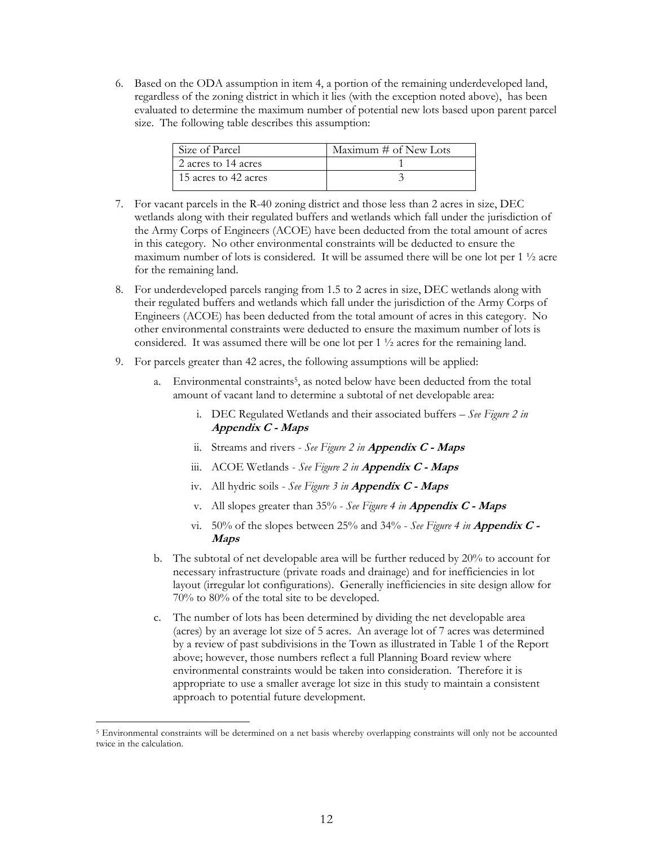6. Based on the ODA assumption in item 4, a portion of the remaining underdeveloped land, regardless of the zoning district in which it lies (with the exception noted above), has been evaluated to determine the maximum number of potential new lots based upon parent parcel size. The following table describes this assumption:

| Size of Parcel       | Maximum $\#$ of New Lots |
|----------------------|--------------------------|
| 2 acres to 14 acres  |                          |
| 15 acres to 42 acres |                          |

- 7. For vacant parcels in the R-40 zoning district and those less than 2 acres in size, DEC wetlands along with their regulated buffers and wetlands which fall under the jurisdiction of the Army Corps of Engineers (ACOE) have been deducted from the total amount of acres in this category. No other environmental constraints will be deducted to ensure the maximum number of lots is considered. It will be assumed there will be one lot per 1  $\frac{1}{2}$  acre for the remaining land.
- 8. For underdeveloped parcels ranging from 1.5 to 2 acres in size, DEC wetlands along with their regulated buffers and wetlands which fall under the jurisdiction of the Army Corps of Engineers (ACOE) has been deducted from the total amount of acres in this category. No other environmental constraints were deducted to ensure the maximum number of lots is considered. It was assumed there will be one lot per 1 ½ acres for the remaining land.
- 9. For parcels greater than 42 acres, the following assumptions will be applied:
	- a. Environmental constraints<sup>5</sup>, as noted below have been deducted from the total amount of vacant land to determine a subtotal of net developable area:
		- i. DEC Regulated Wetlands and their associated buffers *See Figure 2 in* **Appendix C - Maps**
		- ii. Streams and rivers *See Figure 2 in* **Appendix C Maps**
		- iii. ACOE Wetlands *See Figure 2 in* **Appendix C Maps**
		- iv. All hydric soils *See Figure 3 in* **Appendix C Maps**
		- v. All slopes greater than 35% *See Figure 4 in* **Appendix C Maps**
		- vi. 50% of the slopes between 25% and 34% *See Figure 4 in* **Appendix C Maps**
	- b. The subtotal of net developable area will be further reduced by 20% to account for necessary infrastructure (private roads and drainage) and for inefficiencies in lot layout (irregular lot configurations). Generally inefficiencies in site design allow for 70% to 80% of the total site to be developed.
	- c. The number of lots has been determined by dividing the net developable area (acres) by an average lot size of 5 acres. An average lot of 7 acres was determined by a review of past subdivisions in the Town as illustrated in Table 1 of the Report above; however, those numbers reflect a full Planning Board review where environmental constraints would be taken into consideration. Therefore it is appropriate to use a smaller average lot size in this study to maintain a consistent approach to potential future development.

<u>.</u>

<sup>5</sup> Environmental constraints will be determined on a net basis whereby overlapping constraints will only not be accounted twice in the calculation.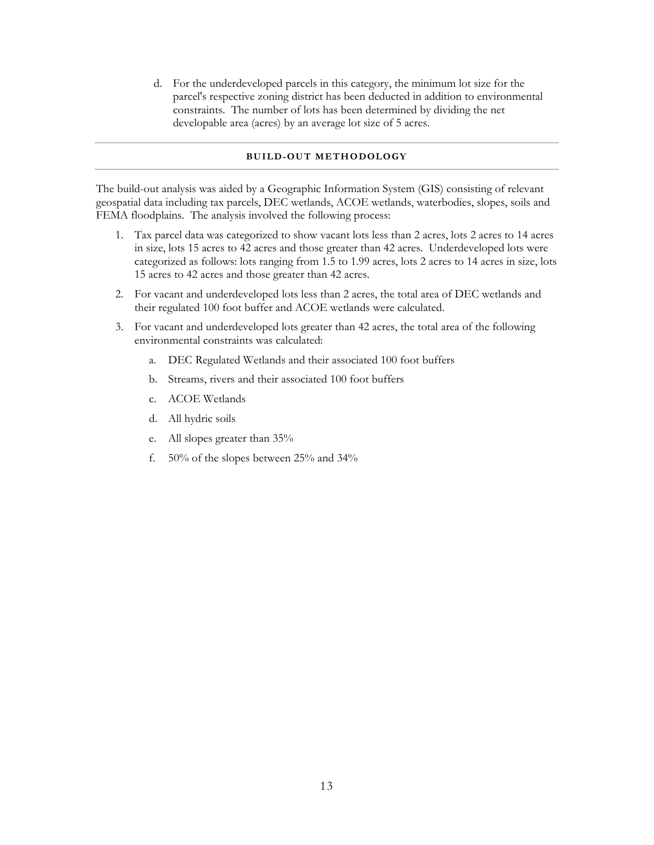d. For the underdeveloped parcels in this category, the minimum lot size for the parcel's respective zoning district has been deducted in addition to environmental constraints. The number of lots has been determined by dividing the net developable area (acres) by an average lot size of 5 acres.

#### **BUILD-OUT METHODOLOGY**

The build-out analysis was aided by a Geographic Information System (GIS) consisting of relevant geospatial data including tax parcels, DEC wetlands, ACOE wetlands, waterbodies, slopes, soils and FEMA floodplains. The analysis involved the following process:

- 1. Tax parcel data was categorized to show vacant lots less than 2 acres, lots 2 acres to 14 acres in size, lots 15 acres to 42 acres and those greater than 42 acres. Underdeveloped lots were categorized as follows: lots ranging from 1.5 to 1.99 acres, lots 2 acres to 14 acres in size, lots 15 acres to 42 acres and those greater than 42 acres.
- 2. For vacant and underdeveloped lots less than 2 acres, the total area of DEC wetlands and their regulated 100 foot buffer and ACOE wetlands were calculated.
- 3. For vacant and underdeveloped lots greater than 42 acres, the total area of the following environmental constraints was calculated:
	- a. DEC Regulated Wetlands and their associated 100 foot buffers
	- b. Streams, rivers and their associated 100 foot buffers
	- c. ACOE Wetlands
	- d. All hydric soils
	- e. All slopes greater than 35%
	- f. 50% of the slopes between 25% and 34%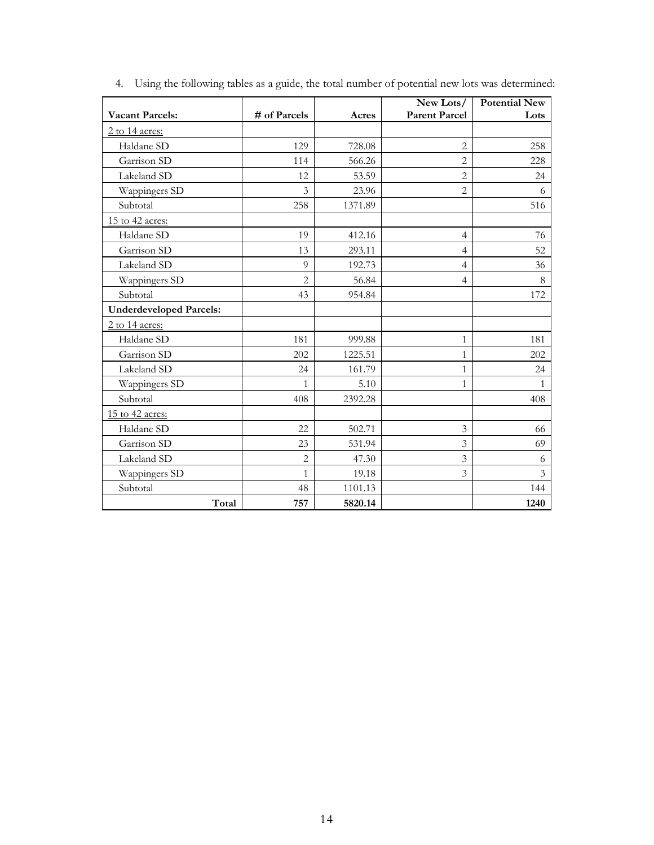|                                |                |         | New Lots/            | <b>Potential New</b> |
|--------------------------------|----------------|---------|----------------------|----------------------|
| <b>Vacant Parcels:</b>         | # of Parcels   | Acres   | <b>Parent Parcel</b> | Lots                 |
| 2 to 14 acres:                 |                |         |                      |                      |
| Haldane SD                     | 129            | 728.08  | $\overline{2}$       | 258                  |
| Garrison SD                    | 114            | 566.26  | $\overline{c}$       | 228                  |
| Lakeland SD                    | 12             | 53.59   | $\overline{2}$       | 24                   |
| Wappingers SD                  | 3              | 23.96   | $\overline{2}$       | 6                    |
| Subtotal                       | 258            | 1371.89 |                      | 516                  |
| 15 to 42 acres:                |                |         |                      |                      |
| Haldane SD                     | 19             | 412.16  | $\overline{4}$       | 76                   |
| Garrison SD                    | 13             | 293.11  | $\overline{4}$       | 52                   |
| Lakeland SD                    | 9              | 192.73  | $\overline{4}$       | 36                   |
| Wappingers SD                  | $\overline{c}$ | 56.84   | $\overline{4}$       | 8                    |
| Subtotal                       | 43             | 954.84  |                      | 172                  |
| <b>Underdeveloped Parcels:</b> |                |         |                      |                      |
| 2 to 14 acres:                 |                |         |                      |                      |
| Haldane SD                     | 181            | 999.88  | $\mathbf{1}$         | 181                  |
| Garrison SD                    | 202            | 1225.51 | $\mathbf{1}$         | 202                  |
| Lakeland SD                    | 24             | 161.79  | $\mathbf{1}$         | 24                   |
| Wappingers SD                  | 1              | 5.10    | $\mathbf{1}$         | $\mathbf{1}$         |
| Subtotal                       | 408            | 2392.28 |                      | 408                  |
| 15 to 42 acres:                |                |         |                      |                      |
| Haldane SD                     | 22             | 502.71  | 3                    | 66                   |
| Garrison SD                    | 23             | 531.94  | $\overline{3}$       | 69                   |
| Lakeland SD                    | $\overline{2}$ | 47.30   | $\mathfrak{Z}$       | 6                    |
| Wappingers SD                  | $\mathbf{1}$   | 19.18   | 3                    | $\overline{3}$       |
| Subtotal                       | 48             | 1101.13 |                      | 144                  |
| Total                          | 757            | 5820.14 |                      | 1240                 |

4. Using the following tables as a guide, the total number of potential new lots was determined: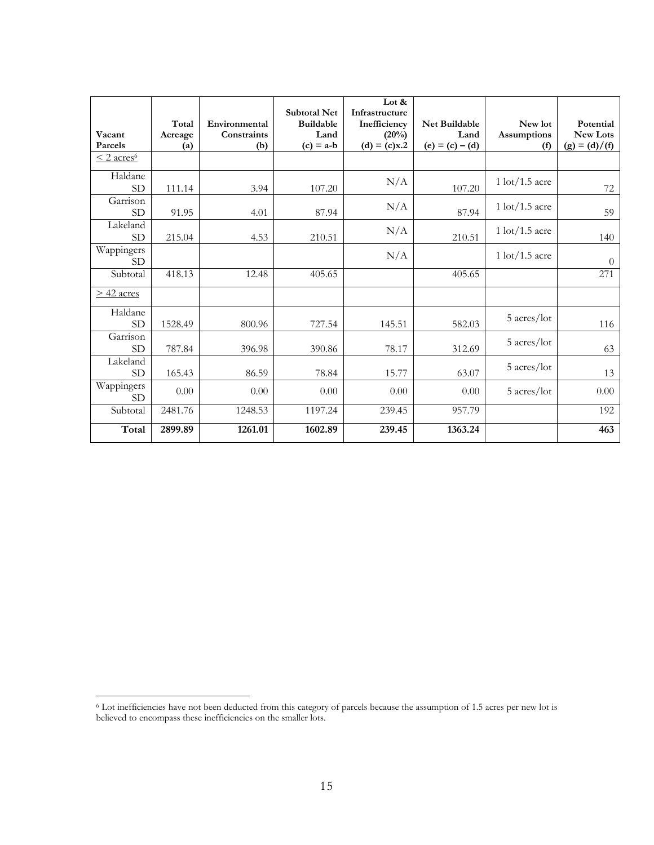|                             | Total   | Environmental | <b>Subtotal Net</b><br><b>Buildable</b> | Lot $&$<br>Infrastructure<br>Inefficiency | Net Buildable     | New lot                       | Potential       |
|-----------------------------|---------|---------------|-----------------------------------------|-------------------------------------------|-------------------|-------------------------------|-----------------|
| Vacant                      | Acreage | Constraints   | Land                                    | (20%)                                     | Land              | Assumptions                   | New Lots        |
| Parcels                     | (a)     | (b)           | $(c) = a-b$                             | $(d) = (c)x.2$                            | $(e) = (c) - (d)$ | (f)                           | $(g) = (d)/(f)$ |
| $\leq$ 2 acres <sup>6</sup> |         |               |                                         |                                           |                   |                               |                 |
| Haldane<br><b>SD</b>        | 111.14  | 3.94          | 107.20                                  | N/A                                       | 107.20            | $1 \cdot \text{lot}/1.5$ acre | 72              |
| Garrison<br><b>SD</b>       | 91.95   | 4.01          | 87.94                                   | N/A                                       | 87.94             | $1 \cdot \text{lot}/1.5$ acre | 59              |
| Lakeland<br><b>SD</b>       | 215.04  | 4.53          | 210.51                                  | N/A                                       | 210.51            | $1 \cdot \text{lot}/1.5$ acre | 140             |
| Wappingers<br><b>SD</b>     |         |               |                                         | N/A                                       |                   | $1 \cdot \text{lot}/1.5$ acre | $\theta$        |
| Subtotal                    | 418.13  | 12.48         | 405.65                                  |                                           | 405.65            |                               | 271             |
| $>$ 42 acres                |         |               |                                         |                                           |                   |                               |                 |
| Haldane<br><b>SD</b>        | 1528.49 | 800.96        | 727.54                                  | 145.51                                    | 582.03            | 5 acres/lot                   | 116             |
| Garrison<br><b>SD</b>       | 787.84  | 396.98        | 390.86                                  | 78.17                                     | 312.69            | 5 acres/lot                   | 63              |
| Lakeland<br><b>SD</b>       | 165.43  | 86.59         | 78.84                                   | 15.77                                     | 63.07             | 5 acres/lot                   | 13              |
| Wappingers<br><b>SD</b>     | 0.00    | 0.00          | 0.00                                    | 0.00                                      | 0.00              | 5 acres/lot                   | 0.00            |
| Subtotal                    | 2481.76 | 1248.53       | 1197.24                                 | 239.45                                    | 957.79            |                               | 192             |
| Total                       | 2899.89 | 1261.01       | 1602.89                                 | 239.45                                    | 1363.24           |                               | 463             |

<sup>6</sup> Lot inefficiencies have not been deducted from this category of parcels because the assumption of 1.5 acres per new lot is believed to encompass these inefficiencies on the smaller lots.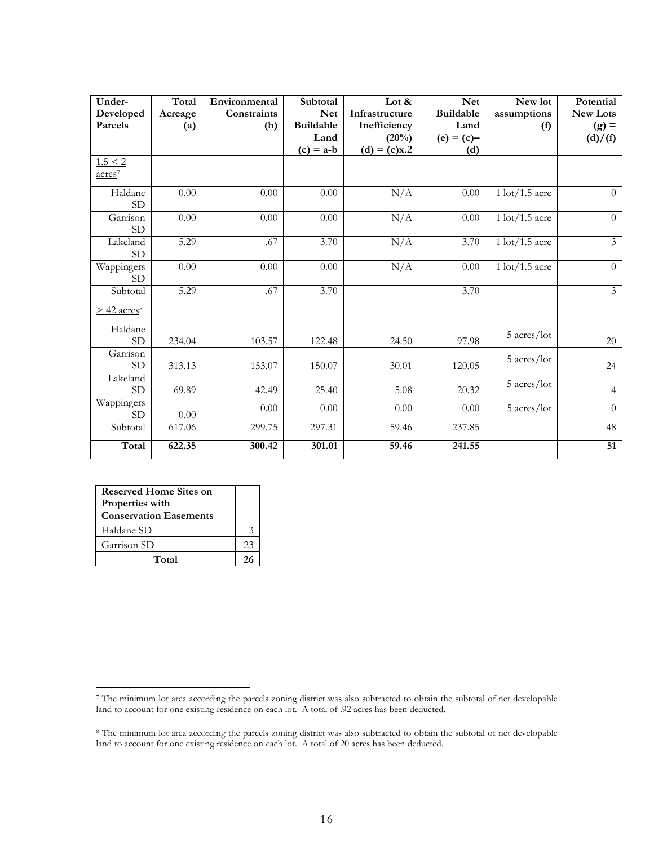| Under-<br>Developed<br>Parcels | Total<br>Acreage<br>$\left( a\right)$ | Environmental<br>Constraints<br>(b) | Subtotal<br><b>Net</b><br><b>Buildable</b><br>Land<br>$(c) = a-b$ | Lot $\&$<br>Infrastructure<br>Inefficiency<br>(20%)<br>$(d) = (c)x.2$ | <b>Net</b><br><b>Buildable</b><br>Land<br>$(e) = (c) -$<br>(d) | New lot<br>assumptions<br>(f) | Potential<br>New Lots<br>$(g) =$<br>(d)/(f) |
|--------------------------------|---------------------------------------|-------------------------------------|-------------------------------------------------------------------|-----------------------------------------------------------------------|----------------------------------------------------------------|-------------------------------|---------------------------------------------|
| 1.5 < 2<br>acres <sup>7</sup>  |                                       |                                     |                                                                   |                                                                       |                                                                |                               |                                             |
| Haldane<br><b>SD</b>           | 0.00                                  | 0.00                                | 0.00                                                              | N/A                                                                   | 0.00                                                           | $1$ lot/1.5 acre              | $\theta$                                    |
| Garrison<br><b>SD</b>          | 0.00                                  | 0.00                                | 0.00                                                              | N/A                                                                   | 0.00                                                           | $1$ lot/1.5 acre              | $\overline{0}$                              |
| Lakeland<br><b>SD</b>          | 5.29                                  | .67                                 | 3.70                                                              | N/A                                                                   | 3.70                                                           | $1 \cdot \text{lot}/1.5$ acre | $\overline{3}$                              |
| Wappingers<br><b>SD</b>        | 0.00                                  | 0.00                                | 0.00                                                              | N/A                                                                   | 0.00                                                           | $1$ lot $/1.5$ acre           | $\overline{0}$                              |
| Subtotal                       | 5.29                                  | .67                                 | 3.70                                                              |                                                                       | 3.70                                                           |                               | $\mathfrak{Z}$                              |
| $>$ 42 acres <sup>8</sup>      |                                       |                                     |                                                                   |                                                                       |                                                                |                               |                                             |
| Haldane<br><b>SD</b>           | 234.04                                | 103.57                              | 122.48                                                            | 24.50                                                                 | 97.98                                                          | 5 acres/lot                   | 20                                          |
| Garrison<br><b>SD</b>          | 313.13                                | 153.07                              | 150.07                                                            | 30.01                                                                 | 120.05                                                         | 5 acres/lot                   | 24                                          |
| Lakeland<br><b>SD</b>          | 69.89                                 | 42.49                               | 25.40                                                             | 5.08                                                                  | 20.32                                                          | 5 acres/lot                   | $\overline{4}$                              |
| Wappingers<br><b>SD</b>        | 0.00                                  | 0.00                                | 0.00                                                              | 0.00                                                                  | 0.00                                                           | 5 acres/lot                   | $\overline{0}$                              |
| Subtotal                       | 617.06                                | 299.75                              | 297.31                                                            | 59.46                                                                 | 237.85                                                         |                               | 48                                          |
| Total                          | 622.35                                | 300.42                              | 301.01                                                            | 59.46                                                                 | 241.55                                                         |                               | 51                                          |

| <b>Reserved Home Sites on</b> |    |  |
|-------------------------------|----|--|
| Properties with               |    |  |
| <b>Conservation Easements</b> |    |  |
| Haldane SD                    |    |  |
| Garrison SD                   | 23 |  |
| Total                         |    |  |

<sup>7</sup> The minimum lot area according the parcels zoning district was also subtracted to obtain the subtotal of net developable land to account for one existing residence on each lot. A total of .92 acres has been deducted.

<sup>&</sup>lt;sup>8</sup> The minimum lot area according the parcels zoning district was also subtracted to obtain the subtotal of net developable land to account for one existing residence on each lot. A total of 20 acres has been deducted.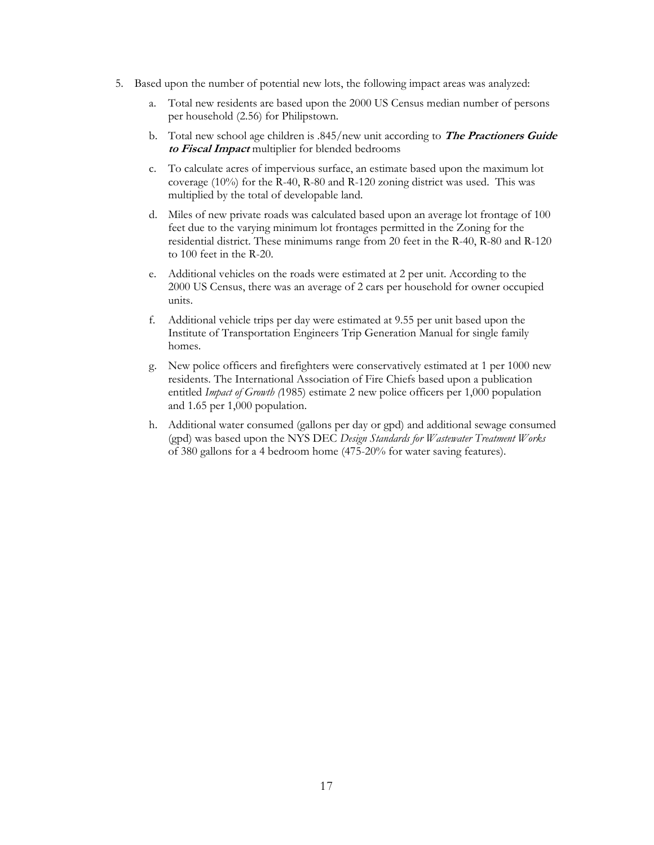- 5. Based upon the number of potential new lots, the following impact areas was analyzed:
	- a. Total new residents are based upon the 2000 US Census median number of persons per household (2.56) for Philipstown.
	- b. Total new school age children is .845/new unit according to **The Practioners Guide to Fiscal Impact** multiplier for blended bedrooms
	- c. To calculate acres of impervious surface, an estimate based upon the maximum lot coverage (10%) for the R-40, R-80 and R-120 zoning district was used. This was multiplied by the total of developable land.
	- d. Miles of new private roads was calculated based upon an average lot frontage of 100 feet due to the varying minimum lot frontages permitted in the Zoning for the residential district. These minimums range from 20 feet in the R-40, R-80 and R-120 to 100 feet in the R-20.
	- e. Additional vehicles on the roads were estimated at 2 per unit. According to the 2000 US Census, there was an average of 2 cars per household for owner occupied units.
	- f. Additional vehicle trips per day were estimated at 9.55 per unit based upon the Institute of Transportation Engineers Trip Generation Manual for single family homes.
	- g. New police officers and firefighters were conservatively estimated at 1 per 1000 new residents. The International Association of Fire Chiefs based upon a publication entitled *Impact of Growth (*1985) estimate 2 new police officers per 1,000 population and 1.65 per 1,000 population.
	- h. Additional water consumed (gallons per day or gpd) and additional sewage consumed (gpd) was based upon the NYS DEC *Design Standards for Wastewater Treatment Works* of 380 gallons for a 4 bedroom home (475-20% for water saving features).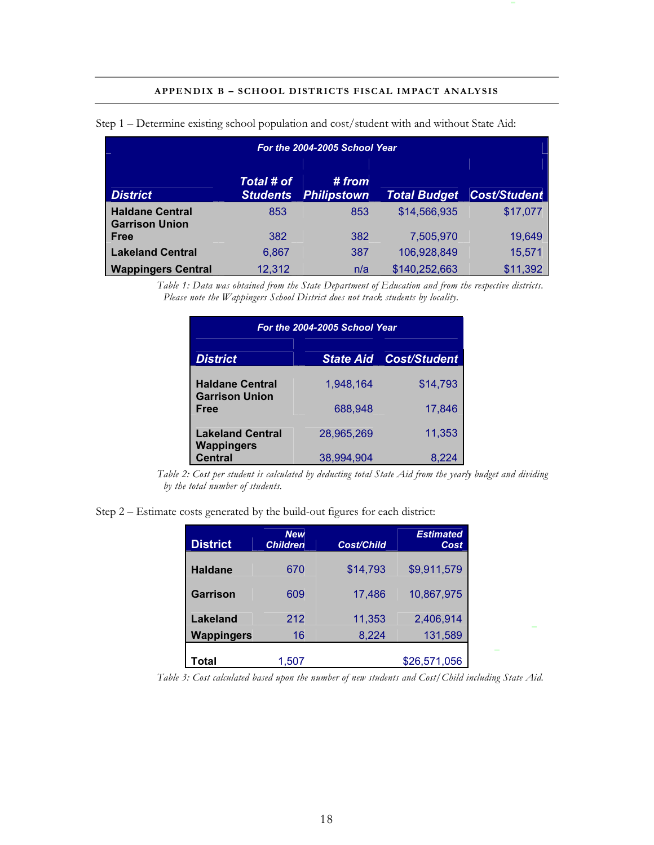#### **APPENDIX B – SCHOOL DISTRICTS FISCAL IMPACT ANALYSIS**

| For the 2004-2005 School Year                   |                                      |                              |                     |                     |  |  |
|-------------------------------------------------|--------------------------------------|------------------------------|---------------------|---------------------|--|--|
|                                                 |                                      |                              |                     |                     |  |  |
| <b>District</b>                                 | <b>Total # of</b><br><b>Students</b> | # from<br><b>Philipstown</b> | <b>Total Budget</b> | <b>Cost/Student</b> |  |  |
| <b>Haldane Central</b><br><b>Garrison Union</b> | 853                                  | 853                          | \$14,566,935        | \$17,077            |  |  |
| <b>Free</b>                                     | 382                                  | 382                          | 7,505,970           | 19,649              |  |  |
| <b>Lakeland Central</b>                         | 6,867                                | 387                          | 106,928,849         | 15,571              |  |  |
| <b>Wappingers Central</b>                       | 12,312                               | n/a                          | \$140,252,663       | \$11,392            |  |  |

Step 1 – Determine existing school population and cost/student with and without State Aid:

*Table 1: Data was obtained from the State Department of Education and from the respective districts. Please note the Wappingers School District does not track students by locality.* 

| For the 2004-2005 School Year       |            |                               |  |  |  |  |
|-------------------------------------|------------|-------------------------------|--|--|--|--|
| <b>District</b>                     |            | <b>State Aid Cost/Student</b> |  |  |  |  |
| <b>Haldane Central</b>              | 1,948,164  | \$14,793                      |  |  |  |  |
| <b>Garrison Union</b><br>Free       | 688,948    | 17,846                        |  |  |  |  |
| <b>Lakeland Central</b>             | 28,965,269 | 11,353                        |  |  |  |  |
| <b>Wappingers</b><br><b>Central</b> | 38,994,904 | 8.224                         |  |  |  |  |

*Table 2: Cost per student is calculated by deducting total State Aid from the yearly budget and dividing by the total number of students.* 

Step 2 – Estimate costs generated by the build-out figures for each district:

| <b>District</b>   | <b>New</b><br><b>Children</b> | <b>Cost/Child</b> | <b>Estimated</b><br>Cost |
|-------------------|-------------------------------|-------------------|--------------------------|
| <b>Haldane</b>    | 670                           | \$14,793          | \$9,911,579              |
| Garrison          | 609                           | 17,486            | 10,867,975               |
| <b>Lakeland</b>   | 212                           | 11,353            | 2,406,914                |
| <b>Wappingers</b> | 16                            | 8,224             | 131,589                  |
| Total             | 1.507                         |                   | \$26,571,056             |

*Table 3: Cost calculated based upon the number of new students and Cost/Child including State Aid.*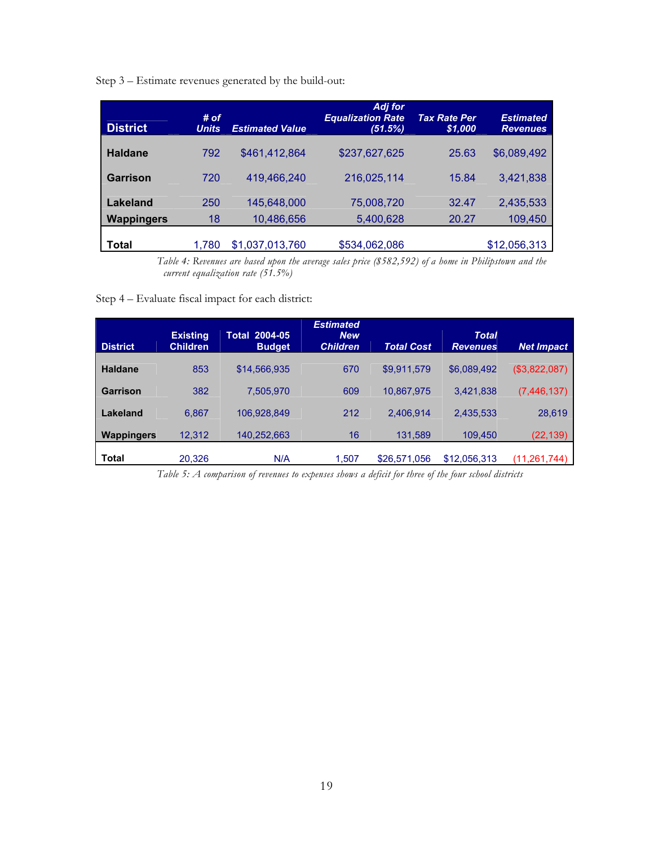Step 3 – Estimate revenues generated by the build-out:

| <b>District</b>   | # of<br><b>Units</b> | <b>Estimated Value</b> | <b>Adj for</b><br><b>Equalization Rate</b><br>(51.5%) | <b>Tax Rate Per</b><br>\$1,000 | <b>Estimated</b><br><b>Revenues</b> |
|-------------------|----------------------|------------------------|-------------------------------------------------------|--------------------------------|-------------------------------------|
| <b>Haldane</b>    | 792                  | \$461,412,864          | \$237,627,625                                         | 25.63                          | \$6,089,492                         |
| Garrison          | 720                  | 419,466,240            | 216,025,114                                           | 15.84                          | 3,421,838                           |
| Lakeland          | 250                  | 145,648,000            | 75,008,720                                            | 32.47                          | 2,435,533                           |
| <b>Wappingers</b> | 18                   | 10,486,656             | 5,400,628                                             | 20.27                          | 109,450                             |
| Total             | 1,780                | \$1,037,013,760        | \$534,062,086                                         |                                | \$12,056,313                        |

*Table 4: Revenues are based upon the average sales price (\$582,592) of a home in Philipstown and the current equalization rate (51.5%)* 

Step 4 – Evaluate fiscal impact for each district:

| <b>District</b>   | <b>Existing</b><br><b>Children</b> | <b>Total 2004-05</b><br><b>Budget</b> | <b>Estimated</b><br><b>New</b><br><b>Children</b> | <b>Total Cost</b> | <b>Total</b><br><b>Revenues</b> | <b>Net Impact</b> |
|-------------------|------------------------------------|---------------------------------------|---------------------------------------------------|-------------------|---------------------------------|-------------------|
| <b>Haldane</b>    | 853                                | \$14.566.935                          | 670                                               | \$9.911.579       | \$6,089,492                     | (\$3,822,087)     |
| Garrison          | 382                                | 7,505,970                             | 609                                               | 10,867,975        | 3.421.838                       | (7, 446, 137)     |
| <b>Lakeland</b>   | 6.867                              | 106.928.849                           | 212                                               | 2.406.914         | 2.435.533                       | 28,619            |
| <b>Wappingers</b> | 12.312                             | 140,252,663                           | 16                                                | 131,589           | 109.450                         | (22, 139)         |
| <b>Total</b>      | 20.326                             | N/A                                   | 1.507                                             | \$26,571,056      | \$12,056,313                    | 11,261,744        |

*Table 5: A comparison of revenues to expenses shows a deficit for three of the four school districts*